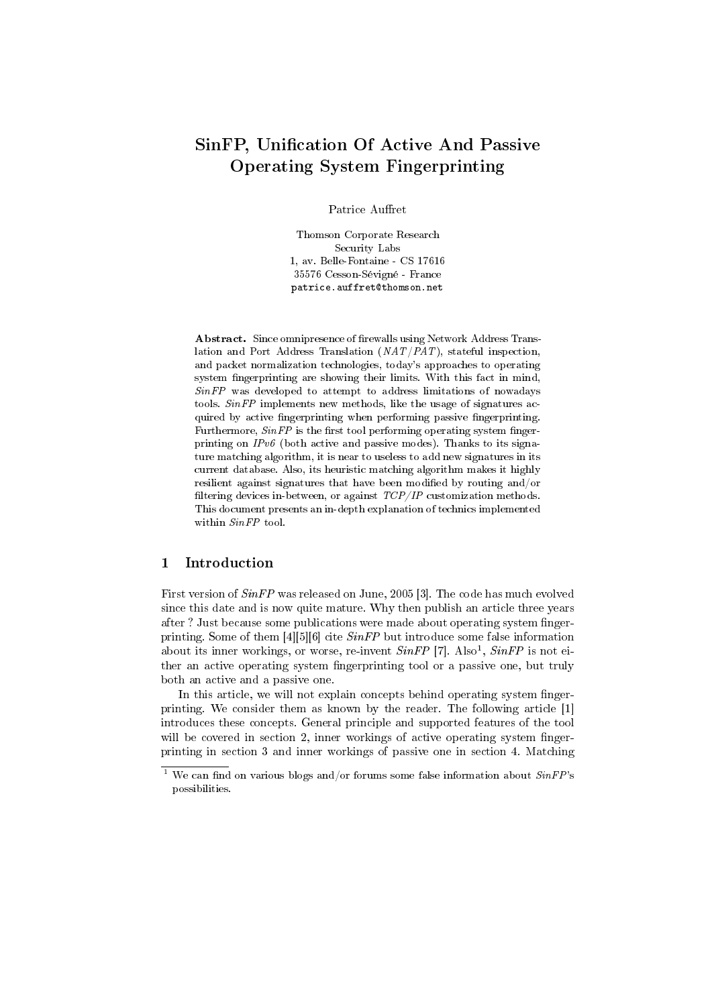# SinFP, Unification Of Active And Passive Operating System Fingerprinting

Patrice Auffret

Thomson Corporate Research Security Labs 1, av. Belle-Fontaine - CS 17616 35576 Cesson-Sévigné - France patrice.auffret@thomson.net

Abstract. Since omnipresence of firewalls using Network Address Translation and Port Address Translation (NAT/PAT), stateful inspection, and packet normalization technologies, today's approaches to operating system fingerprinting are showing their limits. With this fact in mind, SinFP was developed to attempt to address limitations of nowadays tools. SinFP implements new methods, like the usage of signatures acquired by active fingerprinting when performing passive fingerprinting. Furthermore,  $SinFP$  is the first tool performing operating system fingerprinting on IPv6 (both active and passive modes). Thanks to its signature matching algorithm, it is near to useless to add new signatures in its current database. Also, its heuristic matching algorithm makes it highly resilient against signatures that have been modified by routing and/or filtering devices in-between, or against  $TCP/IP$  customization methods. This document presents an in-depth explanation of technics implemented within  $SinFP$  tool.

# 1 Introduction

First version of SinFP was released on June, 2005 [3]. The code has much evolved since this date and is now quite mature. Why then publish an article three years after? Just because some publications were made about operating system fingerprinting. Some of them  $[4][5][6]$  cite  $SinFP$  but introduce some false information about its inner workings, or worse, re-invent  $SinFP$  [7]. Also<sup>1</sup>,  $SinFP$  is not either an active operating system fingerprinting tool or a passive one, but truly both an active and a passive one.

In this article, we will not explain concepts behind operating system fingerprinting. We consider them as known by the reader. The following article [1] introduces these concepts. General principle and supported features of the tool will be covered in section 2, inner workings of active operating system fingerprinting in section 3 and inner workings of passive one in section 4. Matching

<sup>&</sup>lt;sup>1</sup> We can find on various blogs and/or forums some false information about  $SinFP$ 's possibilities.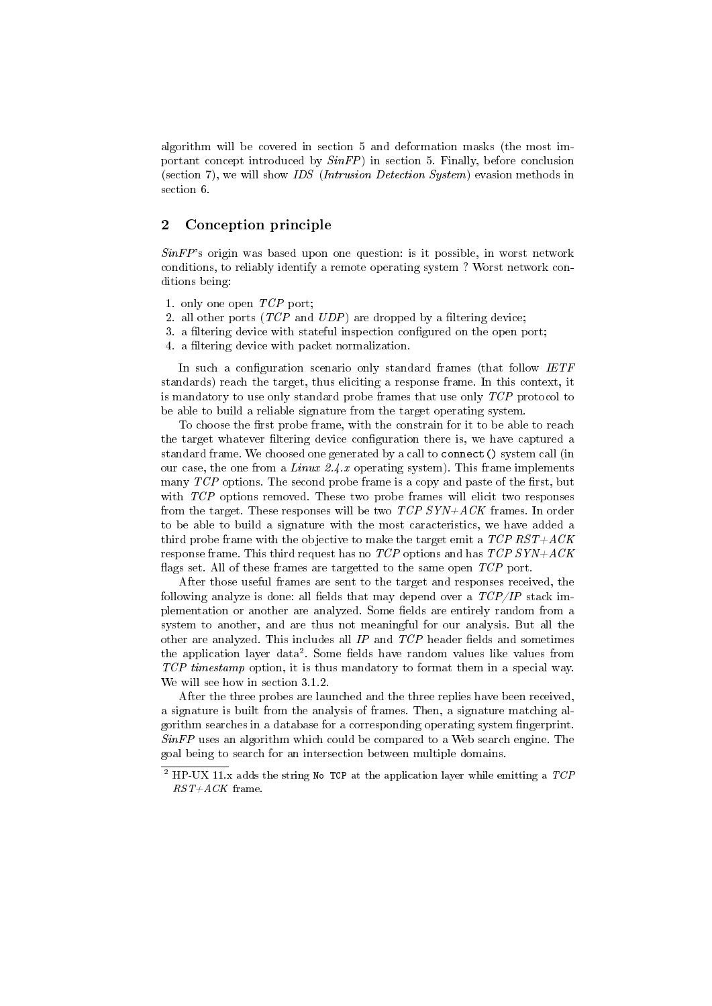algorithm will be covered in section 5 and deformation masks (the most important concept introduced by  $SinFP$ ) in section 5. Finally, before conclusion (section 7), we will show IDS (Intrusion Detection System) evasion methods in section 6.

# 2 Conception principle

 $SinFP$ 's origin was based upon one question: is it possible, in worst network conditions, to reliably identify a remote operating system ? Worst network conditions being:

- 1. only one open TCP port;
- 2. all other ports  $(TCP$  and  $UDP$ ) are dropped by a filtering device;
- 3. a filtering device with stateful inspection configured on the open port;
- 4. a filtering device with packet normalization.

In such a configuration scenario only standard frames (that follow IETF standards) reach the target, thus eliciting a response frame. In this context, it is mandatory to use only standard probe frames that use only TCP protocol to be able to build a reliable signature from the target operating system.

To choose the first probe frame, with the constrain for it to be able to reach the target whatever filtering device configuration there is, we have captured a standard frame. We choosed one generated by a call to connect() system call (in our case, the one from a Linux 2.4.x operating system). This frame implements many  $TCP$  options. The second probe frame is a copy and paste of the first, but with TCP options removed. These two probe frames will elicit two responses from the target. These responses will be two  $TCP SYN+ACK$  frames. In order to be able to build a signature with the most caracteristics, we have added a third probe frame with the objective to make the target emit a  $TCP RST+ACK$ response frame. This third request has no  $TCP$  options and has  $TCP$   $SYN+ACK$ flags set. All of these frames are targetted to the same open  $TCP$  port.

After those useful frames are sent to the target and responses received, the following analyze is done: all fields that may depend over a  $TCP/IP$  stack implementation or another are analyzed. Some fields are entirely random from a system to another, and are thus not meaningful for our analysis. But all the other are analyzed. This includes all  $IP$  and  $TCP$  header fields and sometimes the application layer data<sup>2</sup>. Some fields have random values like values from TCP timestamp option, it is thus mandatory to format them in a special way. We will see how in section 3.1.2.

After the three probes are launched and the three replies have been received, a signature is built from the analysis of frames. Then, a signature matching algorithm searches in a database for a corresponding operating system fingerprint.  $SinFP$  uses an algorithm which could be compared to a Web search engine. The goal being to search for an intersection between multiple domains.

 $^{2}$  HP-UX 11.x adds the string No TCP at the application layer while emitting a TCP  $RST+ACK$  frame.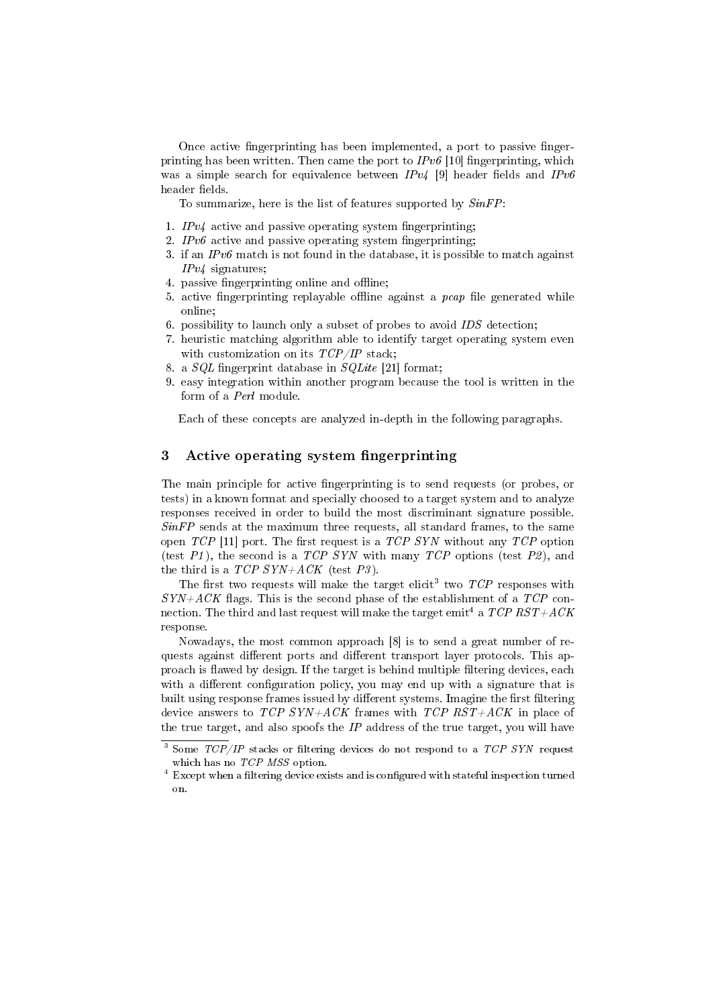Once active fingerprinting has been implemented, a port to passive fingerprinting has been written. Then came the port to  $IPv6$  [10] fingerprinting, which was a simple search for equivalence between  $IPv4$  [9] header fields and  $IPv6$ header fields.

To summarize, here is the list of features supported by  $SinFP$ :

- 1.  $IPv4$  active and passive operating system fingerprinting;
- 2. IPv6 active and passive operating system fingerprinting;
- 3. if an  $IPv6$  match is not found in the database, it is possible to match against IPv4 signatures;
- 4. passive fingerprinting online and offline;
- 5. active fingerprinting replayable offline against a  $pcap$  file generated while online;
- 6. possibility to launch only a subset of probes to avoid  $IDS$  detection;
- 7. heuristic matching algorithm able to identify target operating system even with customization on its  $TCP/IP$  stack;
- 8. a  $SQL$  fingerprint database in  $SQLite$  [21] format;
- 9. easy integration within another program because the tool is written in the form of a Perl module.

Each of these concepts are analyzed in-depth in the following paragraphs.

# 3 Active operating system fingerprinting

The main principle for active fingerprinting is to send requests (or probes, or tests) in a known format and specially choosed to a target system and to analyze responses received in order to build the most discriminant signature possible.  $SinFP$  sends at the maximum three requests, all standard frames, to the same open  $TCP$  [11] port. The first request is a  $TCP$  SYN without any  $TCP$  option (test  $PI$ ), the second is a TCP SYN with many TCP options (test  $P2$ ), and the third is a  $TCP SYN+ACK$  (test P3).

The first two requests will make the target elicit<sup>3</sup> two  $TCP$  responses with  $SYN+ACK$  flags. This is the second phase of the establishment of a  $TCP$  connection. The third and last request will make the target emit<sup>4</sup> a  $TCP RST+ACK$ response.

Nowadays, the most common approach [8] is to send a great number of requests against different ports and different transport layer protocols. This approach is flawed by design. If the target is behind multiple filtering devices, each with a different configuration policy, you may end up with a signature that is built using response frames issued by different systems. Imagine the first filtering device answers to  $TCP \; SYN+ACK$  frames with  $TCP \; RST+ACK$  in place of the true target, and also spoofs the  $IP$  address of the true target, you will have

<sup>&</sup>lt;sup>3</sup> Some  $TCP/IP$  stacks or filtering devices do not respond to a  $TCP$  SYN request which has no TCP MSS option.

 $4$  Except when a filtering device exists and is configured with stateful inspection turned on.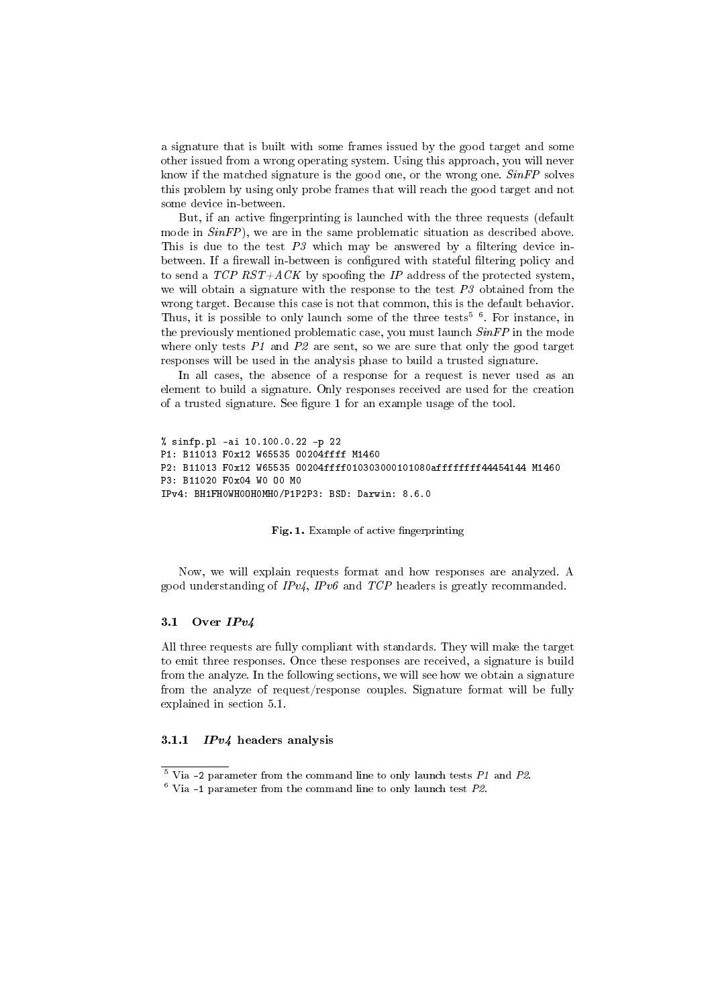a signature that is built with some frames issued by the good target and some other issued from a wrong operating system. Using this approach, you will never know if the matched signature is the good one, or the wrong one. SinFP solves this problem by using only probe frames that will reach the good target and not some device in-between.

But, if an active fingerprinting is launched with the three requests (default mode in  $SinFP$ ), we are in the same problematic situation as described above. This is due to the test  $P3$  which may be answered by a filtering device inbetween. If a firewall in-between is configured with stateful filtering policy and to send a  $TCP RST+ACK$  by spoofing the IP address of the protected system, we will obtain a signature with the response to the test  $P3$  obtained from the wrong target. Because this case is not that common, this is the default behavior. Thus, it is possible to only launch some of the three tests<sup>5  $6$ </sup>. For instance, in the previously mentioned problematic case, you must launch  $SinFP$  in the mode where only tests  $P1$  and  $P2$  are sent, so we are sure that only the good target responses will be used in the analysis phase to build a trusted signature.

In all cases, the absence of a response for a request is never used as an element to build a signature. Only responses received are used for the creation of a trusted signature. See figure 1 for an example usage of the tool.

```
% sinfp.pl -ai 10.100.0.22 -p 22
P1: B11013 F0x12 W65535 O0204ffff M1460
P2: B11013 F0x12 W65535 O0204ffff010303000101080affffffff44454144 M1460
P3: B11020 F0x04 W0 O0 M0
IPv4: BH1FH0WH0OH0MH0/P1P2P3: BSD: Darwin: 8.6.0
```
Fig. 1. Example of active fingerprinting

Now, we will explain requests format and how responses are analyzed. A good understanding of  $IPv/$ ,  $IPv6$  and  $TCP$  headers is greatly recommanded.

# 3.1 Over  $IPv4$

All three requests are fully compliant with standards. They will make the target to emit three responses. Once these responses are received, a signature is build from the analyze. In the following sections, we will see how we obtain a signature from the analyze of request/response couples. Signature format will be fully explained in section 5.1.

### 3.1.1  $IPv4$  headers analysis

 $5$  Via -2 parameter from the command line to only launch tests  $P1$  and  $P2$ .

 $6$  Via -1 parameter from the command line to only launch test  $P2$ .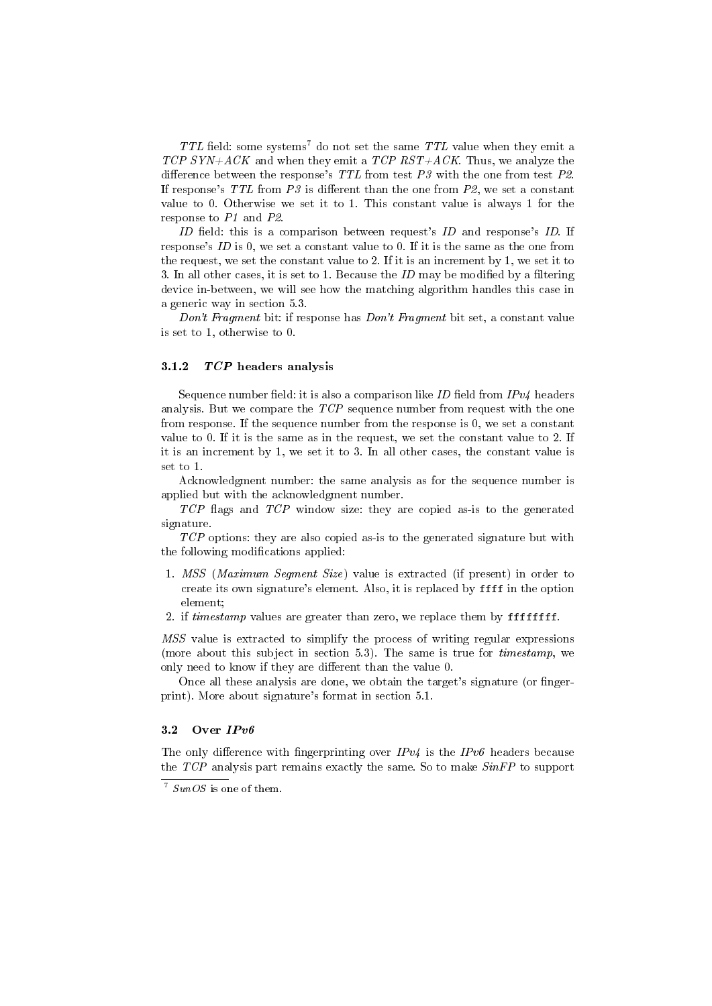TTL field: some systems<sup>7</sup> do not set the same TTL value when they emit a TCP SYN+ACK and when they emit a TCP RST+ACK. Thus, we analyze the difference between the response's  $TTL$  from test  $P3$  with the one from test  $P2$ . If response's  $TTL$  from  $P3$  is different than the one from  $P2$ , we set a constant value to 0. Otherwise we set it to 1. This constant value is always 1 for the response to P1 and P2.

ID field: this is a comparison between request's  $ID$  and response's  $ID$ . If response's ID is 0, we set a constant value to 0. If it is the same as the one from the request, we set the constant value to 2. If it is an increment by 1, we set it to 3. In all other cases, it is set to 1. Because the  $ID$  may be modified by a filtering device in-between, we will see how the matching algorithm handles this case in a generic way in section 5.3.

Don't Fragment bit: if response has Don't Fragment bit set, a constant value is set to 1, otherwise to 0.

### 3.1.2  $TCP$  headers analysis

Sequence number field: it is also a comparison like ID field from  $IPv4$  headers analysis. But we compare the TCP sequence number from request with the one from response. If the sequence number from the response is 0, we set a constant value to 0. If it is the same as in the request, we set the constant value to 2. If it is an increment by 1, we set it to 3. In all other cases, the constant value is set to 1.

Acknowledgment number: the same analysis as for the sequence number is applied but with the acknowledgment number.

 $TCP$  flags and  $TCP$  window size: they are copied as-is to the generated signature.

TCP options: they are also copied as-is to the generated signature but with the following modifications applied:

- 1. MSS (Maximum Segment Size) value is extracted (if present) in order to create its own signature's element. Also, it is replaced by ffff in the option element;
- 2. if timestamp values are greater than zero, we replace them by ffffffff.

MSS value is extracted to simplify the process of writing regular expressions (more about this subject in section 5.3). The same is true for timestamp, we only need to know if they are different than the value 0.

Once all these analysis are done, we obtain the target's signature (or fingerprint). More about signature's format in section 5.1.

# 3.2 Over  $IPv6$

The only difference with fingerprinting over  $IPv4$  is the  $IPv6$  headers because the  $TCP$  analysis part remains exactly the same. So to make  $SinFP$  to support

 $\frac{7}{3}$  SunOS is one of them.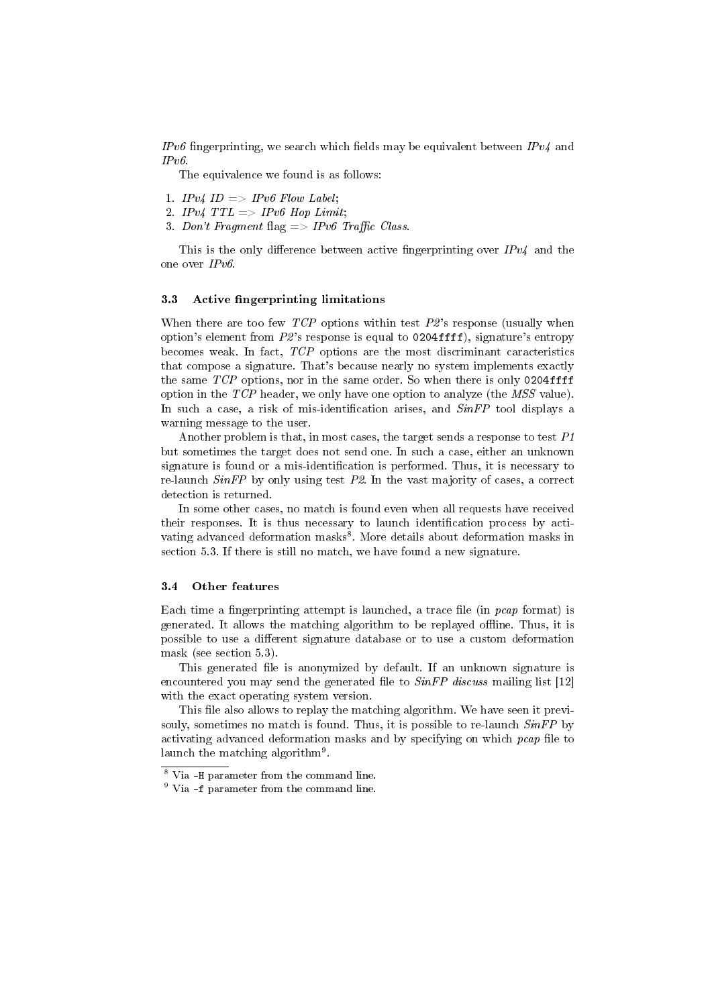IPv6 fingerprinting, we search which fields may be equivalent between  $IPv4$  and  $IPv6$ 

The equivalence we found is as follows:

- 1. IPv4 ID  $\Rightarrow$  IPv6 Flow Label;
- 2. IPv4  $TTL \implies IPv6$  Hop Limit;
- 3. Don't Fragment flag  $\Rightarrow$  IPv6 Traffic Class.

This is the only difference between active fingerprinting over  $IPv4$  and the one over IPv6.

#### 3.3 Active fingerprinting limitations

When there are too few  $TCP$  options within test  $P2$ 's response (usually when option's element from  $P2$ 's response is equal to 0204ffff), signature's entropy becomes weak. In fact, TCP options are the most discriminant caracteristics that compose a signature. That's because nearly no system implements exactly the same  $TCP$  options, nor in the same order. So when there is only 0204ffff option in the TCP header, we only have one option to analyze (the MSS value). In such a case, a risk of mis-identification arises, and  $SinFP$  tool displays a warning message to the user.

Another problem is that, in most cases, the target sends a response to test P1 but sometimes the target does not send one. In such a case, either an unknown signature is found or a mis-identification is performed. Thus, it is necessary to re-launch  $SinFP$  by only using test  $P2$ . In the vast majority of cases, a correct detection is returned.

In some other cases, no match is found even when all requests have received their responses. It is thus necessary to launch identification process by activating advanced deformation masks<sup>8</sup>. More details about deformation masks in section 5.3. If there is still no match, we have found a new signature.

#### 3.4 Other features

Each time a fingerprinting attempt is launched, a trace file (in  $pcap$  format) is generated. It allows the matching algorithm to be replayed offline. Thus, it is possible to use a different signature database or to use a custom deformation mask (see section 5.3).

This generated file is anonymized by default. If an unknown signature is encountered you may send the generated file to  $SinFP$  discuss mailing list [12] with the exact operating system version.

This file also allows to replay the matching algorithm. We have seen it previsouly, sometimes no match is found. Thus, it is possible to re-launch  $SinFP$  by activating advanced deformation masks and by specifying on which  $pcap$  file to launch the matching algorithm<sup>9</sup>.

<sup>8</sup> Via -H parameter from the command line.

<sup>9</sup> Via -f parameter from the command line.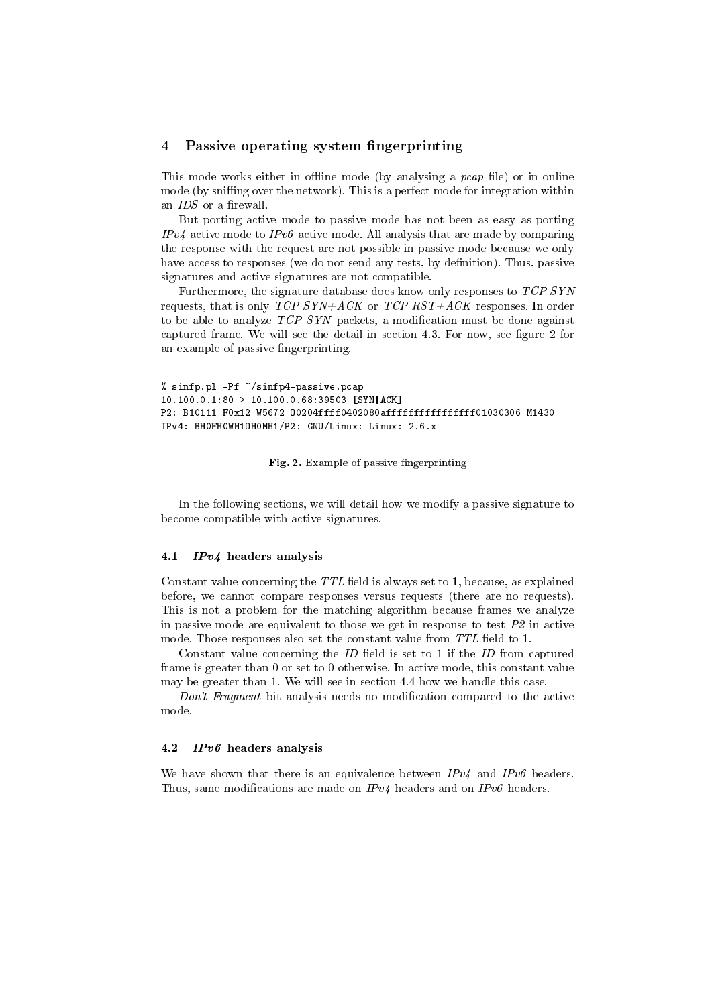# 4 Passive operating system fingerprinting

This mode works either in offline mode (by analysing a  $pcap$  file) or in online mode (by sniffing over the network). This is a perfect mode for integration within an  $IDS$  or a firewall.

But porting active mode to passive mode has not been as easy as porting  $IPv4$  active mode to  $IPv6$  active mode. All analysis that are made by comparing the response with the request are not possible in passive mode because we only have access to responses (we do not send any tests, by definition). Thus, passive signatures and active signatures are not compatible.

Furthermore, the signature database does know only responses to TCP SYN requests, that is only  $TCP$   $SYN+ACK$  or  $TCP$   $RST+ACK$  responses. In order to be able to analyze  $TCP$  SYN packets, a modification must be done against captured frame. We will see the detail in section 4.3. For now, see figure 2 for an example of passive fingerprinting.

```
% sinfp.pl -Pf ~/sinfp4-passive.pcap
10.100.0.1:80 > 10.100.0.68:39503 [SYN|ACK]
P2: B10111 F0x12 W5672 O0204ffff0402080affffffffffffffff01030306 M1430
IPv4: BH0FH0WH1OH0MH1/P2: GNU/Linux: Linux: 2.6.x
```
Fig. 2. Example of passive fingerprinting

In the following sections, we will detail how we modify a passive signature to become compatible with active signatures.

#### 4.1  $IPv4$  headers analysis

Constant value concerning the  $TTL$  field is always set to 1, because, as explained before, we cannot compare responses versus requests (there are no requests). This is not a problem for the matching algorithm because frames we analyze in passive mode are equivalent to those we get in response to test  $P2$  in active mode. Those responses also set the constant value from  $TTL$  field to 1.

Constant value concerning the  $ID$  field is set to 1 if the  $ID$  from captured frame is greater than 0 or set to 0 otherwise. In active mode, this constant value may be greater than 1. We will see in section 4.4 how we handle this case.

Don't Fragment bit analysis needs no modification compared to the active mode.

#### 4.2 IPv6 headers analysis

We have shown that there is an equivalence between  $IPv4$  and  $IPv6$  headers. Thus, same modifications are made on  $IPv4$  headers and on  $IPv6$  headers.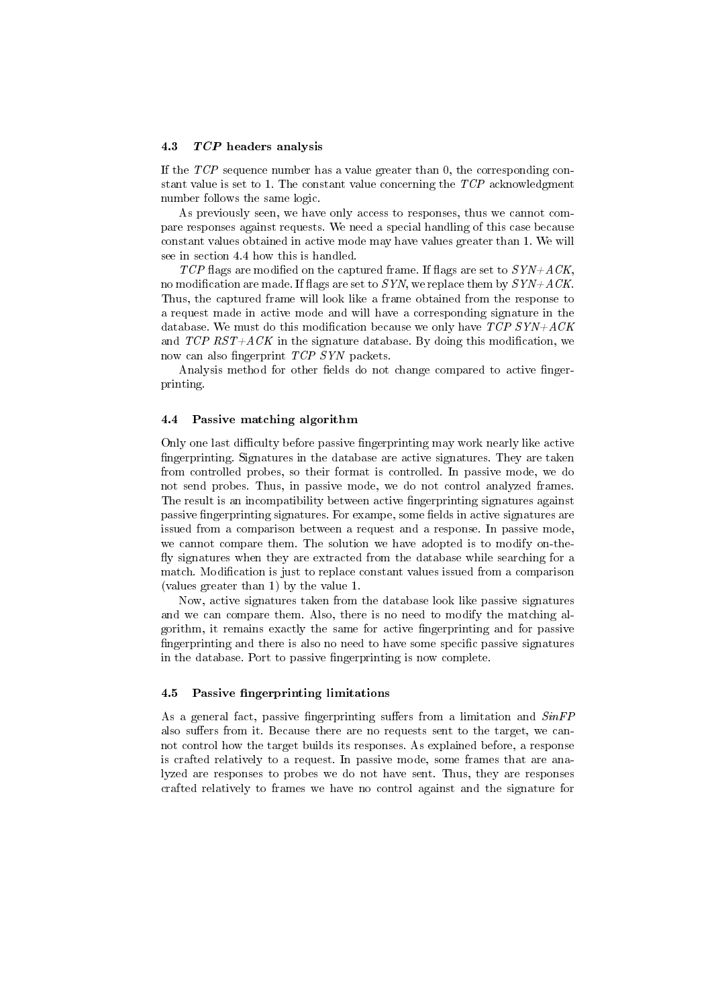#### 4.3 TCP headers analysis

If the TCP sequence number has a value greater than 0, the corresponding constant value is set to 1. The constant value concerning the TCP acknowledgment number follows the same logic.

As previously seen, we have only access to responses, thus we cannot compare responses against requests. We need a special handling of this case because constant values obtained in active mode may have values greater than 1. We will see in section 4.4 how this is handled.

TCP flags are modified on the captured frame. If flags are set to  $\overline{SYN} + \overline{ACK}$ . no modification are made. If flags are set to SYN, we replace them by  $SYN+ACK$ . Thus, the captured frame will look like a frame obtained from the response to a request made in active mode and will have a corresponding signature in the database. We must do this modification because we only have  $TCP SYN+ACK$ and  $TCP RST+ACK$  in the signature database. By doing this modification, we now can also fingerprint *TCP SYN* packets.

Analysis method for other fields do not change compared to active fingerprinting.

#### 4.4 Passive matching algorithm

Only one last difficulty before passive fingerprinting may work nearly like active ngerprinting. Signatures in the database are active signatures. They are taken from controlled probes, so their format is controlled. In passive mode, we do not send probes. Thus, in passive mode, we do not control analyzed frames. The result is an incompatibility between active fingerprinting signatures against passive fingerprinting signatures. For exampe, some fields in active signatures are issued from a comparison between a request and a response. In passive mode, we cannot compare them. The solution we have adopted is to modify on-the fly signatures when they are extracted from the database while searching for a match. Modification is just to replace constant values issued from a comparison (values greater than 1) by the value 1.

Now, active signatures taken from the database look like passive signatures and we can compare them. Also, there is no need to modify the matching algorithm, it remains exactly the same for active fingerprinting and for passive fingerprinting and there is also no need to have some specific passive signatures in the database. Port to passive fingerprinting is now complete.

#### 4.5 Passive fingerprinting limitations

As a general fact, passive fingerprinting suffers from a limitation and  $SinFP$ also suffers from it. Because there are no requests sent to the target, we cannot control how the target builds its responses. As explained before, a response is crafted relatively to a request. In passive mode, some frames that are analyzed are responses to probes we do not have sent. Thus, they are responses crafted relatively to frames we have no control against and the signature for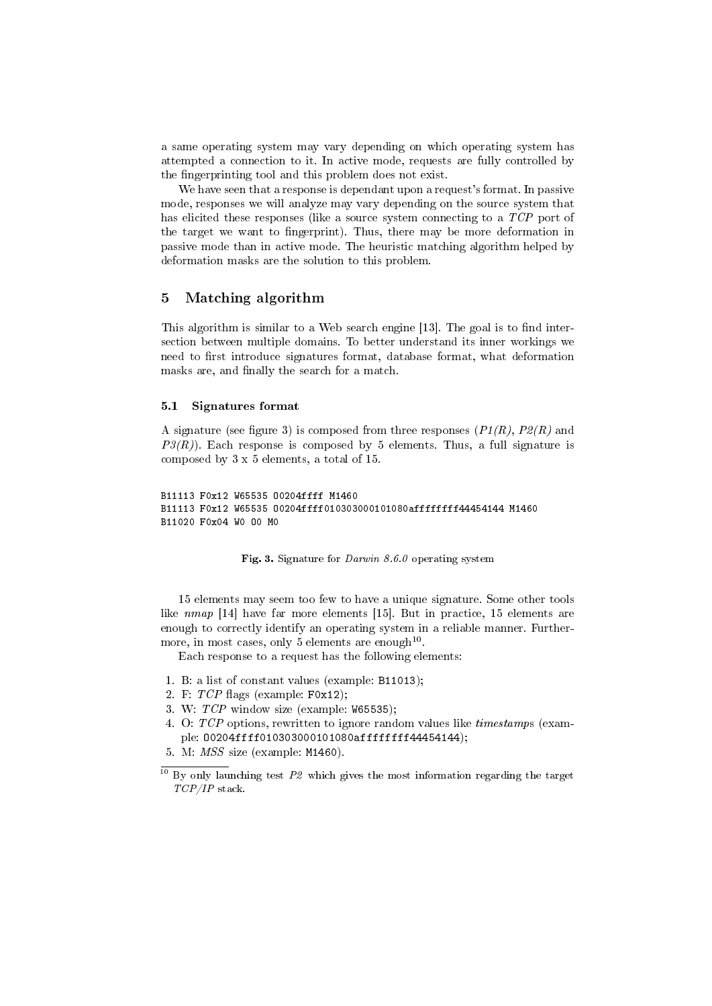a same operating system may vary depending on which operating system has attempted a connection to it. In active mode, requests are fully controlled by the fingerprinting tool and this problem does not exist.

We have seen that a response is dependant upon a request's format. In passive mode, responses we will analyze may vary depending on the source system that has elicited these responses (like a source system connecting to a TCP port of the target we want to fingerprint). Thus, there may be more deformation in passive mode than in active mode. The heuristic matching algorithm helped by deformation masks are the solution to this problem.

# 5 Matching algorithm

This algorithm is similar to a Web search engine [13]. The goal is to find intersection between multiple domains. To better understand its inner workings we need to first introduce signatures format, database format, what deformation masks are, and finally the search for a match.

#### 5.1 Signatures format

A signature (see figure 3) is composed from three responses  $(P1(R), P2(R)$  and  $P3(R)$ . Each response is composed by 5 elements. Thus, a full signature is composed by 3 x 5 elements, a total of 15.

```
B11113 F0x12 W65535 O0204ffff M1460
B11113 F0x12 W65535 O0204ffff010303000101080affffffff44454144 M1460
B11020 F0x04 W0 O0 M0
```
#### Fig. 3. Signature for Darwin 8.6.0 operating system

15 elements may seem too few to have a unique signature. Some other tools like nmap [14] have far more elements [15]. But in practice, 15 elements are enough to correctly identify an operating system in a reliable manner. Furthermore, in most cases, only  $5$  elements are enough<sup>10</sup>.

Each response to a request has the following elements:

- 1. B: a list of constant values (example: B11013);
- 2. F:  $TCP$  flags (example:  $F0x12$ );
- 3. W: TCP window size (example: W65535);
- 4. O: TCP options, rewritten to ignore random values like timestamps (example: O0204ffff010303000101080affffffff44454144);
- 5. M: MSS size (example: M1460).

 $10$  By only launching test  $P2$  which gives the most information regarding the target TCP/IP stack.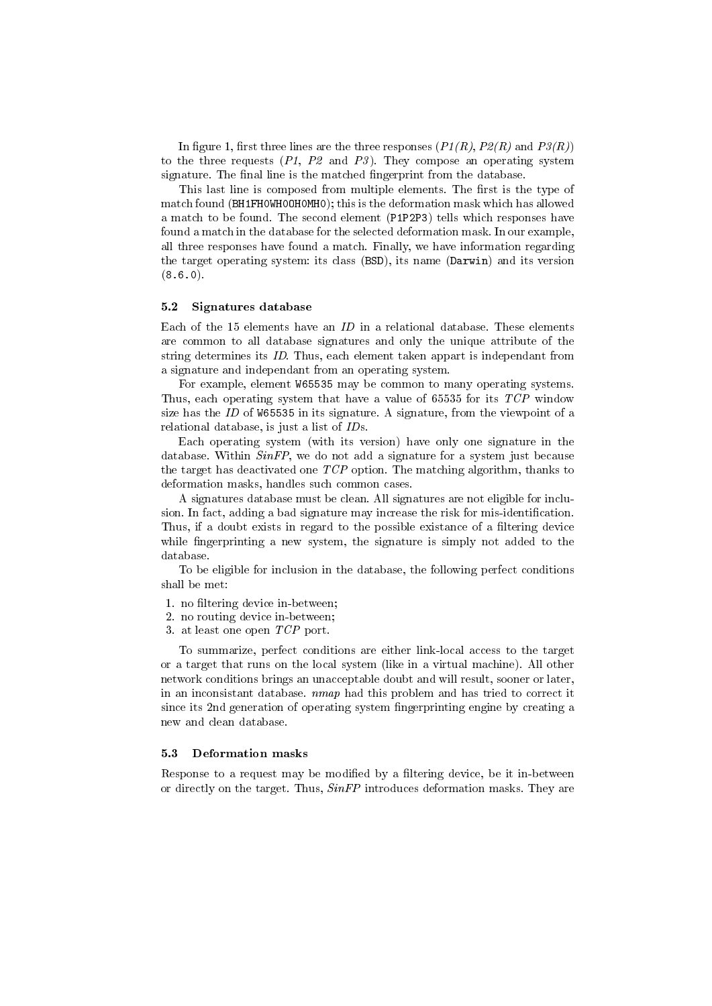In figure 1, first three lines are the three responses  $(P1(R), P2(R)$  and  $P3(R)$ to the three requests  $(P1, P2 \text{ and } P3)$ . They compose an operating system signature. The final line is the matched fingerprint from the database.

This last line is composed from multiple elements. The first is the type of match found (BH1FH0WH0OH0MH0); this is the deformation mask which has allowed a match to be found. The second element (P1P2P3) tells which responses have found a match in the database for the selected deformation mask. In our example, all three responses have found a match. Finally, we have information regarding the target operating system: its class (BSD), its name (Darwin) and its version  $(8.6.0)$ .

#### 5.2 Signatures database

Each of the 15 elements have an  $ID$  in a relational database. These elements are common to all database signatures and only the unique attribute of the string determines its ID. Thus, each element taken appart is independant from a signature and independant from an operating system.

For example, element W65535 may be common to many operating systems. Thus, each operating system that have a value of 65535 for its TCP window size has the ID of W65535 in its signature. A signature, from the viewpoint of a relational database, is just a list of IDs.

Each operating system (with its version) have only one signature in the database. Within  $SinFP$ , we do not add a signature for a system just because the target has deactivated one  $TCP$  option. The matching algorithm, thanks to deformation masks, handles such common cases.

A signatures database must be clean. All signatures are not eligible for inclusion. In fact, adding a bad signature may increase the risk for mis-identification. Thus, if a doubt exists in regard to the possible existance of a filtering device while fingerprinting a new system, the signature is simply not added to the database.

To be eligible for inclusion in the database, the following perfect conditions shall be met:

- 1. no filtering device in-between;
- 2. no routing device in-between;
- 3. at least one open TCP port.

To summarize, perfect conditions are either link-local access to the target or a target that runs on the local system (like in a virtual machine). All other network conditions brings an unacceptable doubt and will result, sooner or later, in an inconsistant database. nmap had this problem and has tried to correct it since its 2nd generation of operating system fingerprinting engine by creating a new and clean database.

### 5.3 Deformation masks

Response to a request may be modified by a filtering device, be it in-between or directly on the target. Thus,  $SinFP$  introduces deformation masks. They are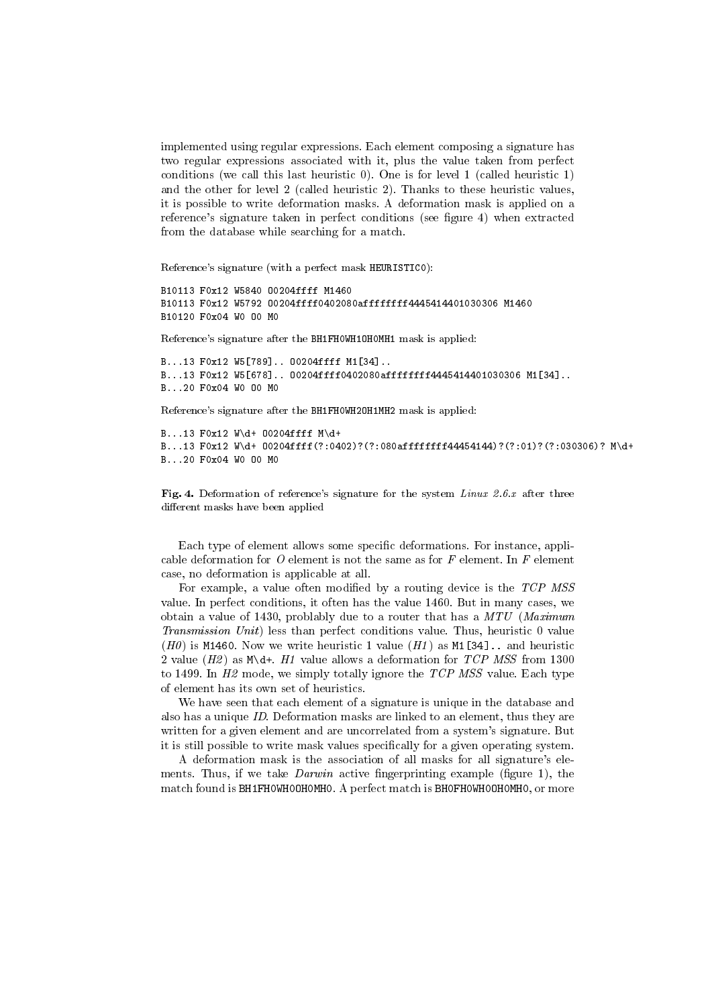implemented using regular expressions. Each element composing a signature has two regular expressions associated with it, plus the value taken from perfect conditions (we call this last heuristic 0). One is for level 1 (called heuristic 1) and the other for level 2 (called heuristic 2). Thanks to these heuristic values, it is possible to write deformation masks. A deformation mask is applied on a reference's signature taken in perfect conditions (see figure 4) when extracted from the database while searching for a match.

Reference's signature (with a perfect mask HEURISTIC0):

B10113 F0x12 W5840 O0204ffff M1460 B10113 F0x12 W5792 O0204ffff0402080affffffff4445414401030306 M1460 B10120 F0x04 W0 O0 M0

Reference's signature after the BH1FH0WH1OH0MH1 mask is applied:

B...13 F0x12 W5[789].. O0204ffff M1[34].. B...13 F0x12 W5[678].. O0204ffff0402080affffffff4445414401030306 M1[34].. B...20 F0x04 W0 O0 M0

Reference's signature after the BH1FH0WH2OH1MH2 mask is applied:

B...13 F0x12 W\d+ O0204ffff M\d+ B...13 F0x12 W\d+ O0204ffff(?:0402)?(?:080affffffff44454144)?(?:01)?(?:030306)? M\d+ B...20 F0x04 W0 O0 M0

Fig. 4. Deformation of reference's signature for the system Linux 2.6.x after three different masks have been applied

Each type of element allows some specific deformations. For instance, applicable deformation for  $O$  element is not the same as for  $F$  element. In  $F$  element case, no deformation is applicable at all.

For example, a value often modified by a routing device is the  $TCP$  MSS value. In perfect conditions, it often has the value 1460. But in many cases, we obtain a value of 1430, problably due to a router that has a  $MTU$  (Maximum Transmission Unit) less than perfect conditions value. Thus, heuristic 0 value (H0) is M1460. Now we write heuristic 1 value  $(H1)$  as M1[34].. and heuristic 2 value  $(H2)$  as  $M\ddot{\ }$ . H1 value allows a deformation for TCP MSS from 1300 to 1499. In  $H2$  mode, we simply totally ignore the TCP MSS value. Each type of element has its own set of heuristics.

We have seen that each element of a signature is unique in the database and also has a unique ID. Deformation masks are linked to an element, thus they are written for a given element and are uncorrelated from a system's signature. But it is still possible to write mask values specifically for a given operating system.

A deformation mask is the association of all masks for all signature's elements. Thus, if we take  $Darwin$  active fingerprinting example (figure 1), the match found is BH1FH0WH0OH0MH0. A perfect match is BH0FH0WH0OH0MH0, or more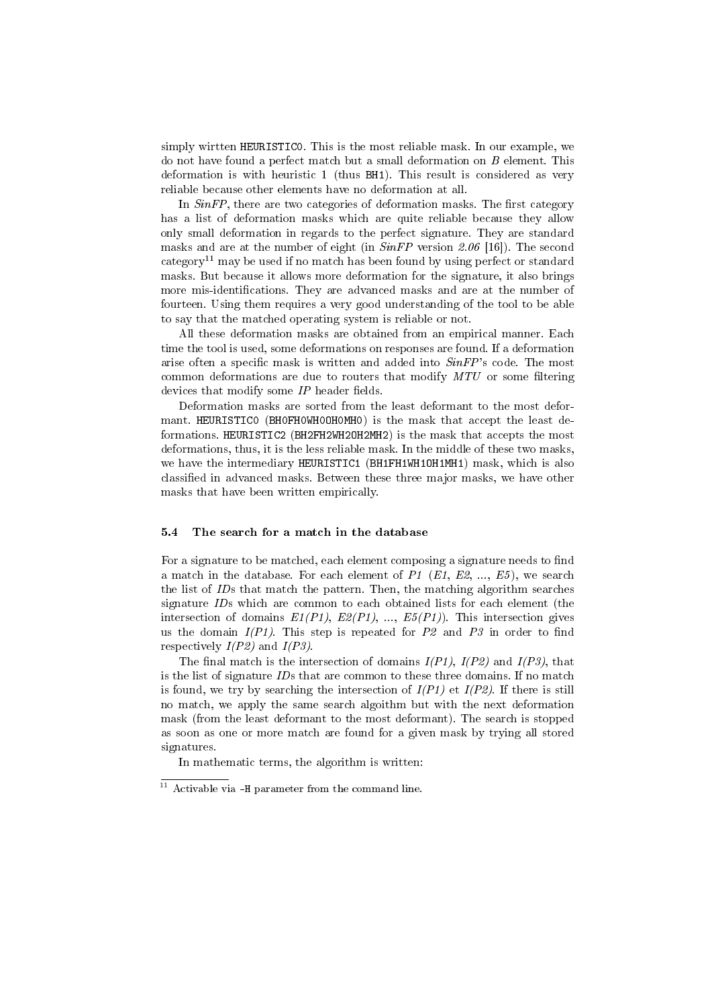simply wirtten HEURISTIC0. This is the most reliable mask. In our example, we do not have found a perfect match but a small deformation on B element. This deformation is with heuristic 1 (thus BH1). This result is considered as very reliable because other elements have no deformation at all.

In  $SinFP$ , there are two categories of deformation masks. The first category has a list of deformation masks which are quite reliable because they allow only small deformation in regards to the perfect signature. They are standard masks and are at the number of eight (in  $SinFP$  version 2.06 [16]). The second category<sup>11</sup> may be used if no match has been found by using perfect or standard masks. But because it allows more deformation for the signature, it also brings more mis-identifications. They are advanced masks and are at the number of fourteen. Using them requires a very good understanding of the tool to be able to say that the matched operating system is reliable or not.

All these deformation masks are obtained from an empirical manner. Each time the tool is used, some deformations on responses are found. If a deformation arise often a specific mask is written and added into  $SinFP$ 's code. The most common deformations are due to routers that modify  $MTU$  or some filtering devices that modify some  $IP$  header fields.

Deformation masks are sorted from the least deformant to the most deformant. HEURISTIC0 (BH0FH0WH0OH0MH0) is the mask that accept the least deformations. HEURISTIC2 (BH2FH2WH2OH2MH2) is the mask that accepts the most deformations, thus, it is the less reliable mask. In the middle of these two masks, we have the intermediary HEURISTIC1 (BH1FH1WH1OH1MH1) mask, which is also classified in advanced masks. Between these three major masks, we have other masks that have been written empirically.

### 5.4 The search for a match in the database

For a signature to be matched, each element composing a signature needs to find a match in the database. For each element of P1  $(E1, E2, ..., E5)$ , we search the list of IDs that match the pattern. Then, the matching algorithm searches signature IDs which are common to each obtained lists for each element (the intersection of domains  $E1(P1)$ ,  $E2(P1)$ , ...,  $E5(P1)$ ). This intersection gives us the domain  $I(P1)$ . This step is repeated for P2 and P3 in order to find respectively  $I(P2)$  and  $I(P3)$ .

The final match is the intersection of domains  $I(P1)$ ,  $I(P2)$  and  $I(P3)$ , that is the list of signature IDs that are common to these three domains. If no match is found, we try by searching the intersection of  $I(P1)$  et  $I(P2)$ . If there is still no match, we apply the same search algoithm but with the next deformation mask (from the least deformant to the most deformant). The search is stopped as soon as one or more match are found for a given mask by trying all stored signatures.

In mathematic terms, the algorithm is written:

 $11$  Activable via -H parameter from the command line.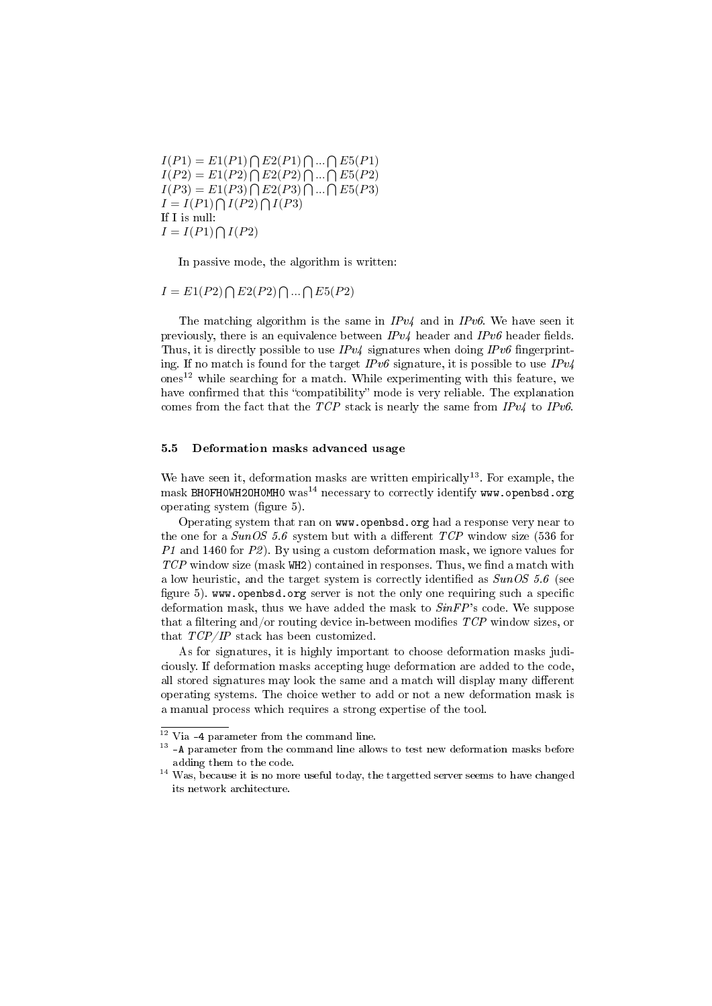$I(P1) = E1(P1) \bigcap E2(P1) \bigcap ... \bigcap E5(P1)$  $I(P2) = E1(P2) \bigcap E2(P2) \bigcap ... \bigcap E5(P2)$  $I(P3) = E1(P3) \bigcap E2(P3) \bigcap ... \bigcap E5(P3)$  $I = I(P1) \bigcap I(P2) \bigcap I(P3)$ If I is null:  $I = I(P1) \bigcap I(P2)$ 

In passive mode, the algorithm is written:

 $I = E1(P2) \bigcap E2(P2) \bigcap ... \bigcap E5(P2)$ 

The matching algorithm is the same in  $IPv4$  and in  $IPv6$ . We have seen it previously, there is an equivalence between  $IPv4$  header and  $IPv6$  header fields. Thus, it is directly possible to use  $IPv4$  signatures when doing  $IPv6$  fingerprinting. If no match is found for the target  $IPv6$  signature, it is possible to use  $IPv4$ ones<sup>12</sup> while searching for a match. While experimenting with this feature, we have confirmed that this "compatibility" mode is very reliable. The explanation comes from the fact that the TCP stack is nearly the same from  $IPv4$  to  $IPv6$ .

### 5.5 Deformation masks advanced usage

We have seen it, deformation masks are written empirically<sup>13</sup>. For example, the mask BHOFHOWH2OHOMHO was<sup>14</sup> necessary to correctly identify www.openbsd.org operating system (figure 5).

Operating system that ran on www.openbsd.org had a response very near to the one for a  $SunOS 5.6$  system but with a different  $TCP$  window size (536 for P1 and 1460 for P2). By using a custom deformation mask, we ignore values for  $TCP$  window size (mask WH2) contained in responses. Thus, we find a match with a low heuristic, and the target system is correctly identified as  $SunOS 5.6$  (see figure 5). www.openbsd.org server is not the only one requiring such a specific deformation mask, thus we have added the mask to  $SinFP$ 's code. We suppose that a filtering and/or routing device in-between modifies  $TCP$  window sizes, or that TCP/IP stack has been customized.

As for signatures, it is highly important to choose deformation masks judiciously. If deformation masks accepting huge deformation are added to the code, all stored signatures may look the same and a match will display many different operating systems. The choice wether to add or not a new deformation mask is a manual process which requires a strong expertise of the tool.

<sup>12</sup> Via -4 parameter from the command line.

<sup>&</sup>lt;sup>13</sup> -A parameter from the command line allows to test new deformation masks before adding them to the code.

<sup>&</sup>lt;sup>14</sup> Was, because it is no more useful today, the targetted server seems to have changed its network architecture.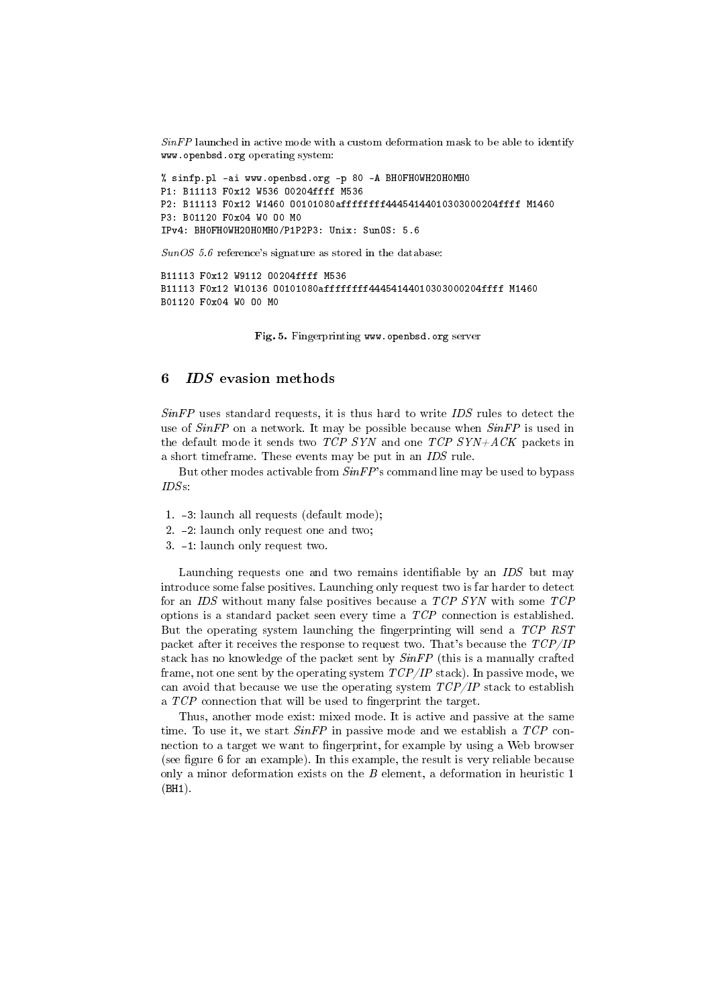$SinFP$  launched in active mode with a custom deformation mask to be able to identify www.openbsd.org operating system:

% sinfp.pl -ai www.openbsd.org -p 80 -A BH0FH0WH2OH0MH0 P1: B11113 F0x12 W536 O0204ffff M536 P2: B11113 F0x12 W1460 O0101080affffffff44454144010303000204ffff M1460 P3: B01120 F0x04 W0 O0 M0 IPv4: BH0FH0WH2OH0MH0/P1P2P3: Unix: SunOS: 5.6

SunOS 5.6 reference's signature as stored in the database:

B11113 F0x12 W9112 O0204ffff M536 B11113 F0x12 W10136 O0101080affffffff44454144010303000204ffff M1460 B01120 F0x04 W0 O0 M0

Fig. 5. Fingerprinting www.openbsd.org server

# 6 IDS evasion methods

 $SinFP$  uses standard requests, it is thus hard to write  $IDS$  rules to detect the use of  $SinFP$  on a network. It may be possible because when  $SinFP$  is used in the default mode it sends two TCP SYN and one TCP SYN+ACK packets in a short timeframe. These events may be put in an IDS rule.

But other modes activable from  $SinFP$ 's command line may be used to bypass IDSs:

- 1. -3: launch all requests (default mode);
- 2. -2: launch only request one and two;
- 3. -1: launch only request two.

Launching requests one and two remains identifiable by an  $IDS$  but may introduce some false positives. Launching only request two is far harder to detect for an IDS without many false positives because a TCP SYN with some TCP options is a standard packet seen every time a TCP connection is established. But the operating system launching the fingerprinting will send a TCP RST packet after it receives the response to request two. That's because the  $TCP/IP$ stack has no knowledge of the packet sent by SinFP (this is a manually crafted frame, not one sent by the operating system  $TCP/IP$  stack). In passive mode, we can avoid that because we use the operating system  $TCP/IP$  stack to establish a  $TCP$  connection that will be used to fingerprint the target.

Thus, another mode exist: mixed mode. It is active and passive at the same time. To use it, we start  $SinFP$  in passive mode and we establish a  $TCP$  connection to a target we want to fingerprint, for example by using a Web browser (see figure 6 for an example). In this example, the result is very reliable because only a minor deformation exists on the  $B$  element, a deformation in heuristic 1 (BH1).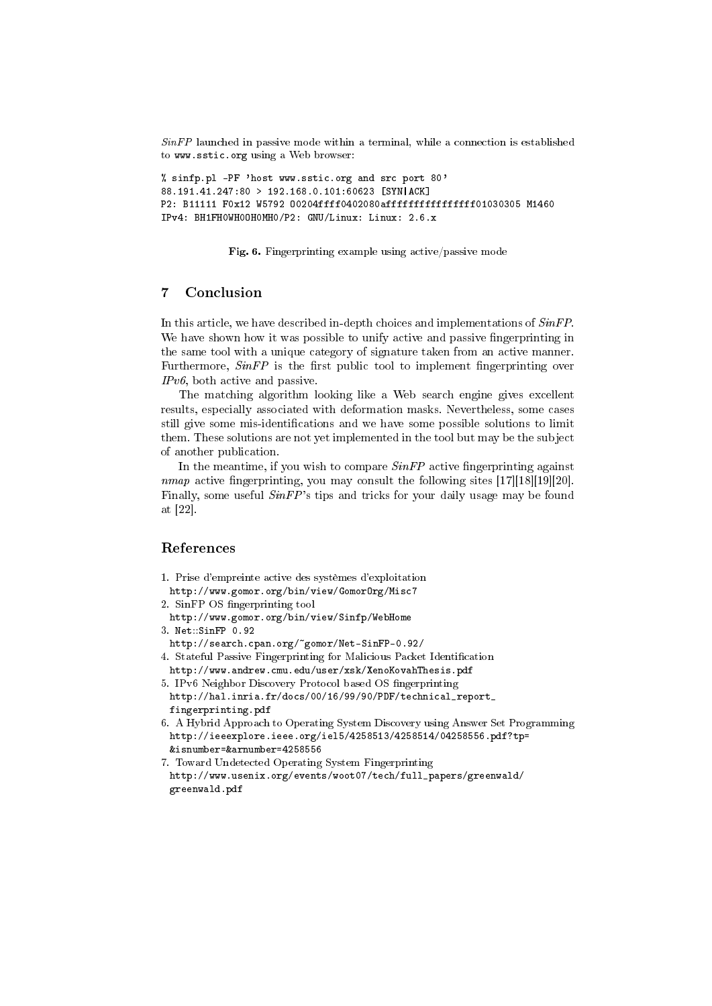SinFP launched in passive mode within a terminal, while a connection is established to www.sstic.org using a Web browser:

% sinfp.pl -PF 'host www.sstic.org and src port 80' 88.191.41.247:80 > 192.168.0.101:60623 [SYN|ACK] P2: B11111 F0x12 W5792 O0204ffff0402080affffffffffffffff01030305 M1460 IPv4: BH1FH0WH0OH0MH0/P2: GNU/Linux: Linux: 2.6.x

Fig. 6. Fingerprinting example using active/passive mode

# 7 Conclusion

In this article, we have described in-depth choices and implementations of  $SinFP$ . We have shown how it was possible to unify active and passive fingerprinting in the same tool with a unique category of signature taken from an active manner. Furthermore,  $SinFP$  is the first public tool to implement fingerprinting over IPv6, both active and passive.

The matching algorithm looking like a Web search engine gives excellent results, especially associated with deformation masks. Nevertheless, some cases still give some mis-identifications and we have some possible solutions to limit them. These solutions are not yet implemented in the tool but may be the subject of another publication.

In the meantime, if you wish to compare  $SinFP$  active fingerprinting against nmap active fingerprinting, you may consult the following sites  $[17][18][19][20]$ . Finally, some useful SinFP's tips and tricks for your daily usage may be found at [22].

# References

- 1. Prise d'empreinte active des systèmes d'exploitation
- http://www.gomor.org/bin/view/GomorOrg/Misc7
- 2. SinFP OS fingerprinting tool
- http://www.gomor.org/bin/view/Sinfp/WebHome
- 3. Net::SinFP 0.92
- http://search.cpan.org/~gomor/Net-SinFP-0.92/
- 4. Stateful Passive Fingerprinting for Malicious Packet Identification http://www.andrew.cmu.edu/user/xsk/XenoKovahThesis.pdf
- 5. IPv6 Neighbor Discovery Protocol based OS fingerprinting http://hal.inria.fr/docs/00/16/99/90/PDF/technical\_report\_ fingerprinting.pdf
- 6. A Hybrid Approach to Operating System Discovery using Answer Set Programming http://ieeexplore.ieee.org/iel5/4258513/4258514/04258556.pdf?tp= &isnumber=&arnumber=4258556
- 7. Toward Undetected Operating System Fingerprinting http://www.usenix.org/events/woot07/tech/full\_papers/greenwald/ greenwald.pdf